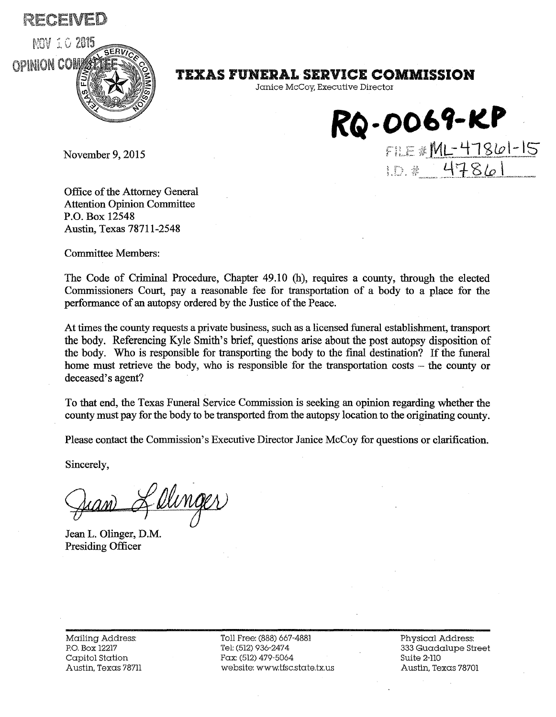

## TEXAS FUNERAL SERVICE **COMMISSION**

Janice McCoy, Executive Director



November 9, 2015

Office of the Attorney General Attention Opinion Committee P.O. Box 12548 Austin, Texas 78711-2548

Committee Members:

The Code of Criminal Procedure, Chapter 49.10 (h), requires a county, through the elected Commissioners Court, pay a reasonable fee for transportation of a body to a place for the performance of an autopsy ordered by the Justice of the Peace.

At times the county requests a private business, such as a licensed funeral establishment, transport the body. Referencing Kyle Smith's brief, questions arise about the post autopsy disposition of the body. Who is responsible for transporting the body to the final destination? If the funeral home must retrieve the body, who is responsible for the transportation costs – the county or deceased's agent?

To that end, the Texas Funeral Service Commission is seeking an opinion regarding whether the county must pay for the body to be transported from the autopsy location to the originating county.

Please contact the Commission's Executive Director Janice McCoy for questions or clarification.

Sincerely,

Jean & Olinger)

Presiding Officer

Mailing Address: P.O. Box 12217 Capitol Station Austin, Texas 78711 Toll Free: (888) 667-4881 Tel: (512) 936-2474 Fax: (512) 479-5064 website: www.tfsc.state.tx.us

Physical Address: 333 Guadalupe Street Suite 2-110 Austin, Texas 78701